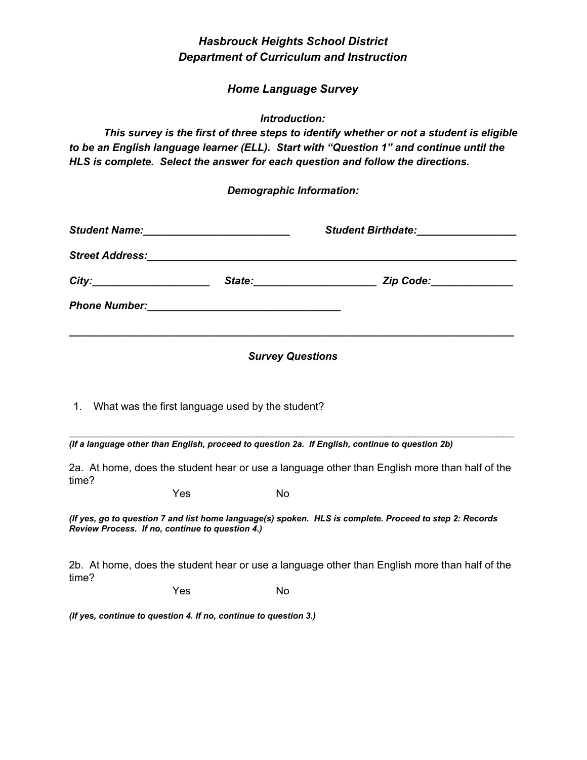# *Hasbrouck Heights School District Department of Curriculum and Instruction*

### *Home Language Survey*

*Introduction:*

*This survey is the first of three steps to identify whether or not a student is eligible to be an English language learner (ELL). Start with "Question 1" and continue until the HLS is complete. Select the answer for each question and follow the directions.*

#### *Demographic Information:*

| <b>Student Name:</b><br><u> 1980 - Johann John Stone, market fransk konge</u> |                                                                                                                       | Student Birthdate: <u>______________________</u>                                                                                                |  |
|-------------------------------------------------------------------------------|-----------------------------------------------------------------------------------------------------------------------|-------------------------------------------------------------------------------------------------------------------------------------------------|--|
| <b>Street Address:</b>                                                        | <u> 1990 - Paul Barbara, martin da basar da basa da basa da basa da basa da basa da basa da basa da basa da basa </u> |                                                                                                                                                 |  |
| City:<br><u> 1989 - Johann Barbara, martin amerikan basa</u>                  | State:                                                                                                                | Zip Code:_____________<br><u> 1980 - Jan Barbara Barbara, prima prima prima prima prima prima prima prima prima prima prima prima prima pri</u> |  |
| <b>Phone Number:</b>                                                          | <u> 1980 - Andrea Andrew Maria (h. 1980).</u>                                                                         |                                                                                                                                                 |  |
|                                                                               |                                                                                                                       |                                                                                                                                                 |  |

#### *Survey Questions*

1. What was the first language used by the student?

*(If a language other than English, proceed to question 2a. If English, continue to question 2b)*

2a. At home, does the student hear or use a language other than English more than half of the time?

\_\_\_\_\_\_\_\_\_\_\_\_\_\_\_\_\_\_\_\_\_\_\_\_\_\_\_\_\_\_\_\_\_\_\_\_\_\_\_\_\_\_\_\_\_\_\_\_\_\_\_\_\_\_\_\_\_\_\_\_\_\_\_\_\_\_\_\_\_\_\_\_\_\_\_\_

Yes No

*(If yes, go to question 7 and list home language(s) spoken. HLS is complete. Proceed to step 2: Records Review Process. If no, continue to question 4.)*

2b. At home, does the student hear or use a language other than English more than half of the time?

Yes No

*(If yes, continue to question 4. If no, continue to question 3.)*